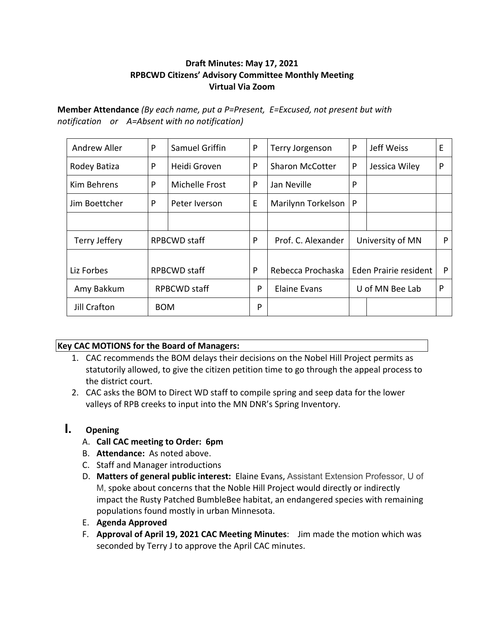#### **Draft Minutes: May 17, 2021 RPBCWD Citizens' Advisory Committee Monthly Meeting Virtual Via Zoom**

**Member Attendance** *(By each name, put a P=Present, E=Excused, not present but with notification or A=Absent with no notification)*

| <b>Andrew Aller</b> | P                   | Samuel Griffin | P | Terry Jorgenson        | P                     | Jeff Weiss    | E |
|---------------------|---------------------|----------------|---|------------------------|-----------------------|---------------|---|
| Rodey Batiza        | P                   | Heidi Groven   | P | <b>Sharon McCotter</b> | P                     | Jessica Wiley | P |
| <b>Kim Behrens</b>  | P                   | Michelle Frost | P | Jan Neville            | P                     |               |   |
| Jim Boettcher       | P                   | Peter Iverson  | E | Marilynn Torkelson     | P                     |               |   |
|                     |                     |                |   |                        |                       |               |   |
| Terry Jeffery       | <b>RPBCWD</b> staff |                | P | Prof. C. Alexander     | University of MN      |               | P |
|                     |                     |                |   |                        |                       |               |   |
| Liz Forbes          | <b>RPBCWD staff</b> |                | P | Rebecca Prochaska      | Eden Prairie resident |               | P |
| Amy Bakkum          | RPBCWD staff        |                | P | Elaine Evans           | U of MN Bee Lab       |               | P |
| Jill Crafton        | <b>BOM</b>          |                | P |                        |                       |               |   |

#### **Key CAC MOTIONS for the Board of Managers:**

- 1. CAC recommends the BOM delays their decisions on the Nobel Hill Project permits as statutorily allowed, to give the citizen petition time to go through the appeal process to the district court.
- 2. CAC asks the BOM to Direct WD staff to compile spring and seep data for the lower valleys of RPB creeks to input into the MN DNR's Spring Inventory.

# **I. Opening**

- A. **Call CAC meeting to Order: 6pm**
- B. **Attendance:** As noted above.
- C. Staff and Manager introductions
- D. **Matters of general public interest:** Elaine Evans, Assistant Extension Professor, U of M, spoke about concerns that the Noble Hill Project would directly or indirectly impact the Rusty Patched BumbleBee habitat, an endangered species with remaining populations found mostly in urban Minnesota.
- E. **Agenda Approved**
- F. **Approval of April 19, 2021 CAC Meeting Minutes**: Jim made the motion which was seconded by Terry J to approve the April CAC minutes.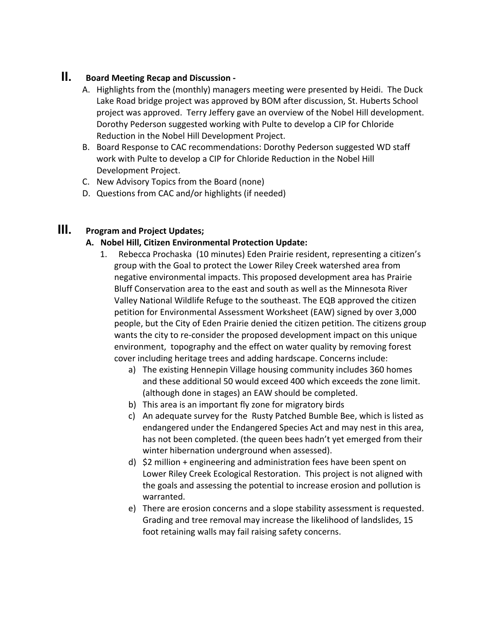## **II. Board Meeting Recap and Discussion -**

- A. Highlights from the (monthly) managers meeting were presented by Heidi. The Duck Lake Road bridge project was approved by BOM after discussion, St. Huberts School project was approved. Terry Jeffery gave an overview of the Nobel Hill development. Dorothy Pederson suggested working with Pulte to develop a CIP for Chloride Reduction in the Nobel Hill Development Project.
- B. Board Response to CAC recommendations: Dorothy Pederson suggested WD staff work with Pulte to develop a CIP for Chloride Reduction in the Nobel Hill Development Project.
- C. New Advisory Topics from the Board (none)
- D. Questions from CAC and/or highlights (if needed)

## **III. Program and Project Updates;**

#### **A. Nobel Hill, Citizen Environmental Protection Update:**

- 1. Rebecca Prochaska (10 minutes) Eden Prairie resident, representing a citizen's group with the Goal to protect the Lower Riley Creek watershed area from negative environmental impacts. This proposed development area has Prairie Bluff Conservation area to the east and south as well as the Minnesota River Valley National Wildlife Refuge to the southeast. The EQB approved the citizen petition for Environmental Assessment Worksheet (EAW) signed by over 3,000 people, but the City of Eden Prairie denied the citizen petition. The citizens group wants the city to re-consider the proposed development impact on this unique environment, topography and the effect on water quality by removing forest cover including heritage trees and adding hardscape. Concerns include:
	- a) The existing Hennepin Village housing community includes 360 homes and these additional 50 would exceed 400 which exceeds the zone limit. (although done in stages) an EAW should be completed.
	- b) This area is an important fly zone for migratory birds
	- c) An adequate survey for the Rusty Patched Bumble Bee, which is listed as endangered under the Endangered Species Act and may nest in this area, has not been completed. (the queen bees hadn't yet emerged from their winter hibernation underground when assessed).
	- d) \$2 million + engineering and administration fees have been spent on Lower Riley Creek Ecological Restoration. This project is not aligned with the goals and assessing the potential to increase erosion and pollution is warranted.
	- e) There are erosion concerns and a slope stability assessment is requested. Grading and tree removal may increase the likelihood of landslides, 15 foot retaining walls may fail raising safety concerns.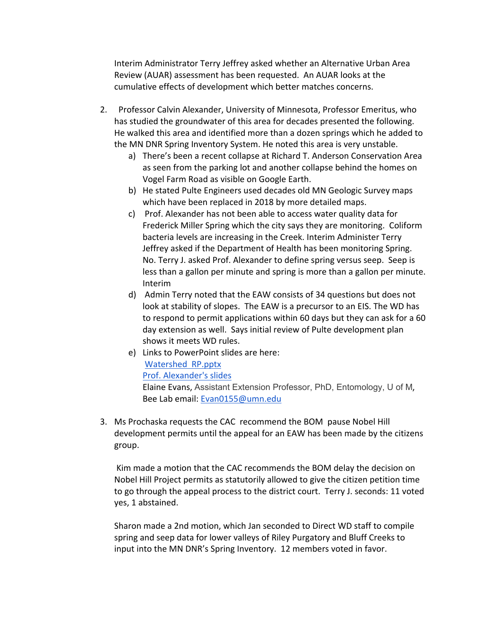Interim Administrator Terry Jeffrey asked whether an Alternative Urban Area Review (AUAR) assessment has been requested. An AUAR looks at the cumulative effects of development which better matches concerns.

- 2. Professor Calvin Alexander, University of Minnesota, Professor Emeritus, who has studied the groundwater of this area for decades presented the following. He walked this area and identified more than a dozen springs which he added to the MN DNR Spring Inventory System. He noted this area is very unstable.
	- a) There's been a recent collapse at Richard T. Anderson Conservation Area as seen from the parking lot and another collapse behind the homes on Vogel Farm Road as visible on Google Earth.
	- b) He stated Pulte Engineers used decades old MN Geologic Survey maps which have been replaced in 2018 by more detailed maps.
	- c) Prof. Alexander has not been able to access water quality data for Frederick Miller Spring which the city says they are monitoring. Coliform bacteria levels are increasing in the Creek. Interim Administer Terry Jeffrey asked if the Department of Health has been monitoring Spring. No. Terry J. asked Prof. Alexander to define spring versus seep. Seep is less than a gallon per minute and spring is more than a gallon per minute. Interim
	- d) Admin Terry noted that the EAW consists of 34 questions but does not look at stability of slopes. The EAW is a precursor to an EIS. The WD has to respond to permit applications within 60 days but they can ask for a 60 day extension as well. Says initial review of Pulte development plan shows it meets WD rules.
	- e) Links to PowerPoint slides are here: Watershed RP.pptx Prof. Alexander's slides Elaine Evans, Assistant Extension Professor, PhD, Entomology, U of M, Bee Lab email: Evan0155@umn.edu
- 3. Ms Prochaska requests the CAC recommend the BOM pause Nobel Hill development permits until the appeal for an EAW has been made by the citizens group.

Kim made a motion that the CAC recommends the BOM delay the decision on Nobel Hill Project permits as statutorily allowed to give the citizen petition time to go through the appeal process to the district court. Terry J. seconds: 11 voted yes, 1 abstained.

Sharon made a 2nd motion, which Jan seconded to Direct WD staff to compile spring and seep data for lower valleys of Riley Purgatory and Bluff Creeks to input into the MN DNR's Spring Inventory. 12 members voted in favor.